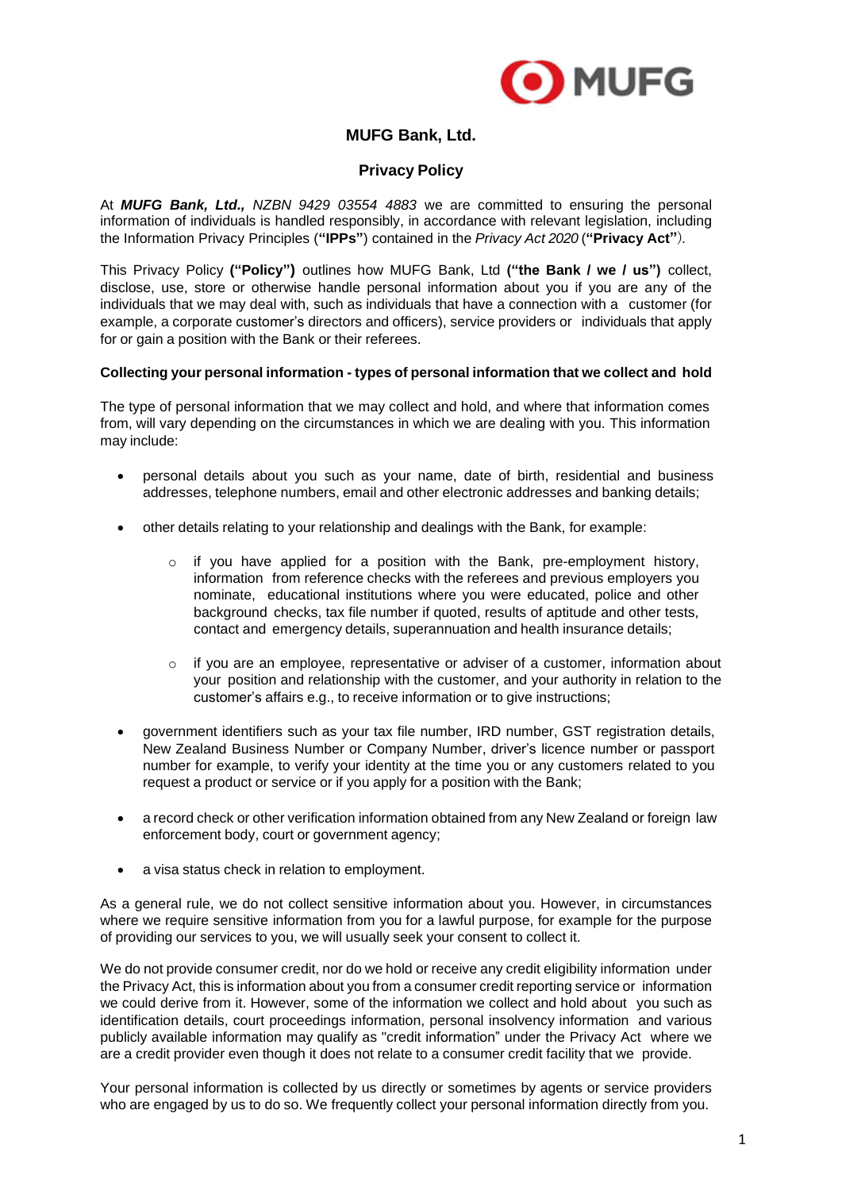

# **MUFG Bank, Ltd.**

# **Privacy Policy**

At *MUFG Bank, Ltd., NZBN 9429 03554 4883* we are committed to ensuring the personal information of individuals is handled responsibly, in accordance with relevant legislation, including the Information Privacy Principles (**"IPPs"**) contained in the *Privacy Act 2020* (**"Privacy Act"**).

This Privacy Policy **("Policy")** outlines how MUFG Bank, Ltd **("the Bank / we / us")** collect, disclose, use, store or otherwise handle personal information about you if you are any of the individuals that we may deal with, such as individuals that have a connection with a customer (for example, a corporate customer's directors and officers), service providers or individuals that apply for or gain a position with the Bank or their referees.

# **Collecting your personal information - types of personal information that we collect and hold**

The type of personal information that we may collect and hold, and where that information comes from, will vary depending on the circumstances in which we are dealing with you. This information may include:

- personal details about you such as your name, date of birth, residential and business addresses, telephone numbers, email and other electronic addresses and banking details;
- other details relating to your relationship and dealings with the Bank, for example:
	- $\circ$  if you have applied for a position with the Bank, pre-employment history, information from reference checks with the referees and previous employers you nominate, educational institutions where you were educated, police and other background checks, tax file number if quoted, results of aptitude and other tests, contact and emergency details, superannuation and health insurance details;
	- $\circ$  if you are an employee, representative or adviser of a customer, information about your position and relationship with the customer, and your authority in relation to the customer's affairs e.g., to receive information or to give instructions;
- government identifiers such as your tax file number, IRD number, GST registration details, New Zealand Business Number or Company Number, driver's licence number or passport number for example, to verify your identity at the time you or any customers related to you request a product or service or if you apply for a position with the Bank;
- a record check or other verification information obtained from any New Zealand or foreign law enforcement body, court or government agency;
- a visa status check in relation to employment.

As a general rule, we do not collect sensitive information about you. However, in circumstances where we require sensitive information from you for a lawful purpose, for example for the purpose of providing our services to you, we will usually seek your consent to collect it.

We do not provide consumer credit, nor do we hold or receive any credit eligibility information under the Privacy Act, this is information about you from a consumer credit reporting service or information we could derive from it. However, some of the information we collect and hold about you such as identification details, court proceedings information, personal insolvency information and various publicly available information may qualify as "credit information" under the Privacy Act where we are a credit provider even though it does not relate to a consumer credit facility that we provide.

Your personal information is collected by us directly or sometimes by agents or service providers who are engaged by us to do so. We frequently collect your personal information directly from you.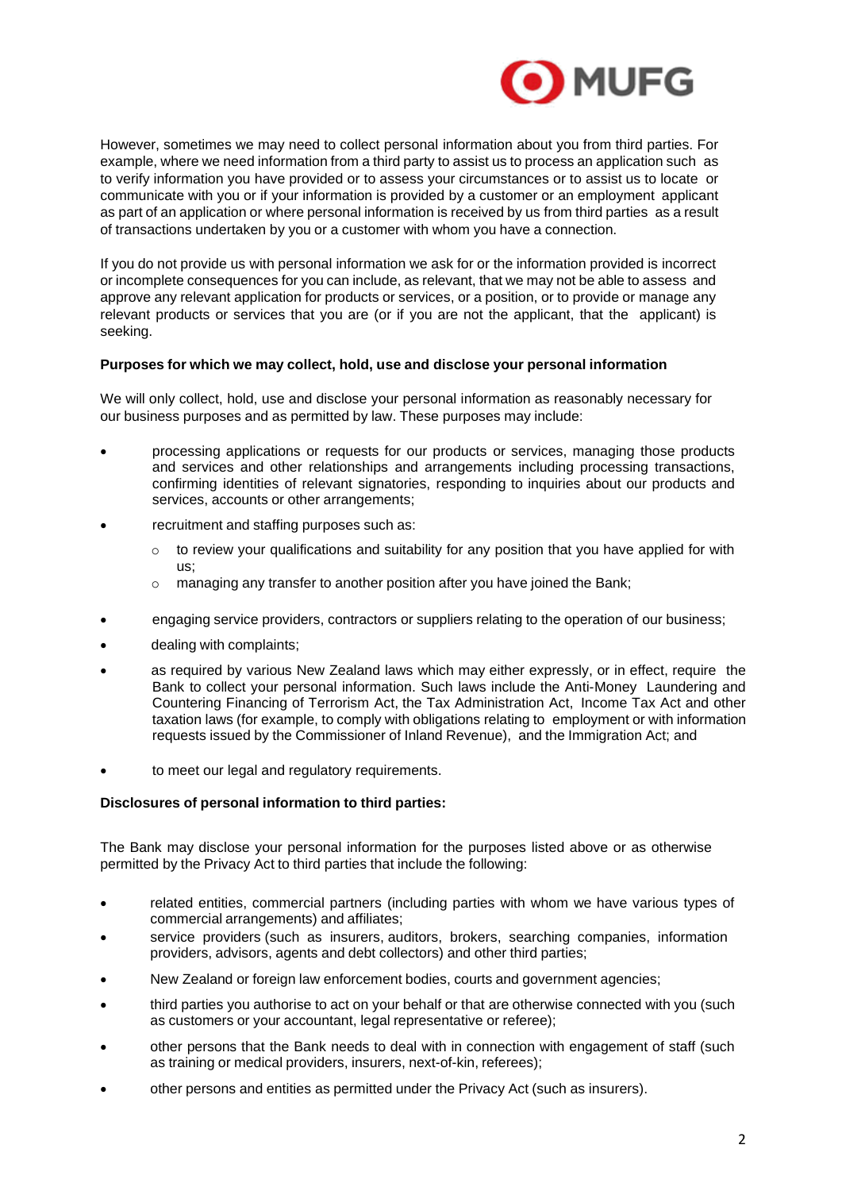

However, sometimes we may need to collect personal information about you from third parties. For example, where we need information from a third party to assist us to process an application such as to verify information you have provided or to assess your circumstances or to assist us to locate or communicate with you or if your information is provided by a customer or an employment applicant as part of an application or where personal information is received by us from third parties as a result of transactions undertaken by you or a customer with whom you have a connection.

If you do not provide us with personal information we ask for or the information provided is incorrect or incomplete consequences for you can include, as relevant, that we may not be able to assess and approve any relevant application for products or services, or a position, or to provide or manage any relevant products or services that you are (or if you are not the applicant, that the applicant) is seeking.

## **Purposes for which we may collect, hold, use and disclose your personal information**

We will only collect, hold, use and disclose your personal information as reasonably necessary for our business purposes and as permitted by law. These purposes may include:

- processing applications or requests for our products or services, managing those products and services and other relationships and arrangements including processing transactions, confirming identities of relevant signatories, responding to inquiries about our products and services, accounts or other arrangements;
- recruitment and staffing purposes such as:
	- $\circ$  to review your qualifications and suitability for any position that you have applied for with us;
	- o managing any transfer to another position after you have joined the Bank;
- engaging service providers, contractors or suppliers relating to the operation of our business;
- dealing with complaints;
- as required by various New Zealand laws which may either expressly, or in effect, require the Bank to collect your personal information. Such laws include the Anti-Money Laundering and Countering Financing of Terrorism Act, the Tax Administration Act, Income Tax Act and other taxation laws (for example, to comply with obligations relating to employment or with information requests issued by the Commissioner of Inland Revenue), and the Immigration Act; and
- to meet our legal and regulatory requirements.

## **Disclosures of personal information to third parties:**

The Bank may disclose your personal information for the purposes listed above or as otherwise permitted by the Privacy Act to third parties that include the following:

- related entities, commercial partners (including parties with whom we have various types of commercial arrangements) and affiliates;
- service providers (such as insurers, auditors, brokers, searching companies, information providers, advisors, agents and debt collectors) and other third parties;
- New Zealand or foreign law enforcement bodies, courts and government agencies;
- third parties you authorise to act on your behalf or that are otherwise connected with you (such as customers or your accountant, legal representative or referee);
- other persons that the Bank needs to deal with in connection with engagement of staff (such as training or medical providers, insurers, next-of-kin, referees);
- other persons and entities as permitted under the Privacy Act (such as insurers).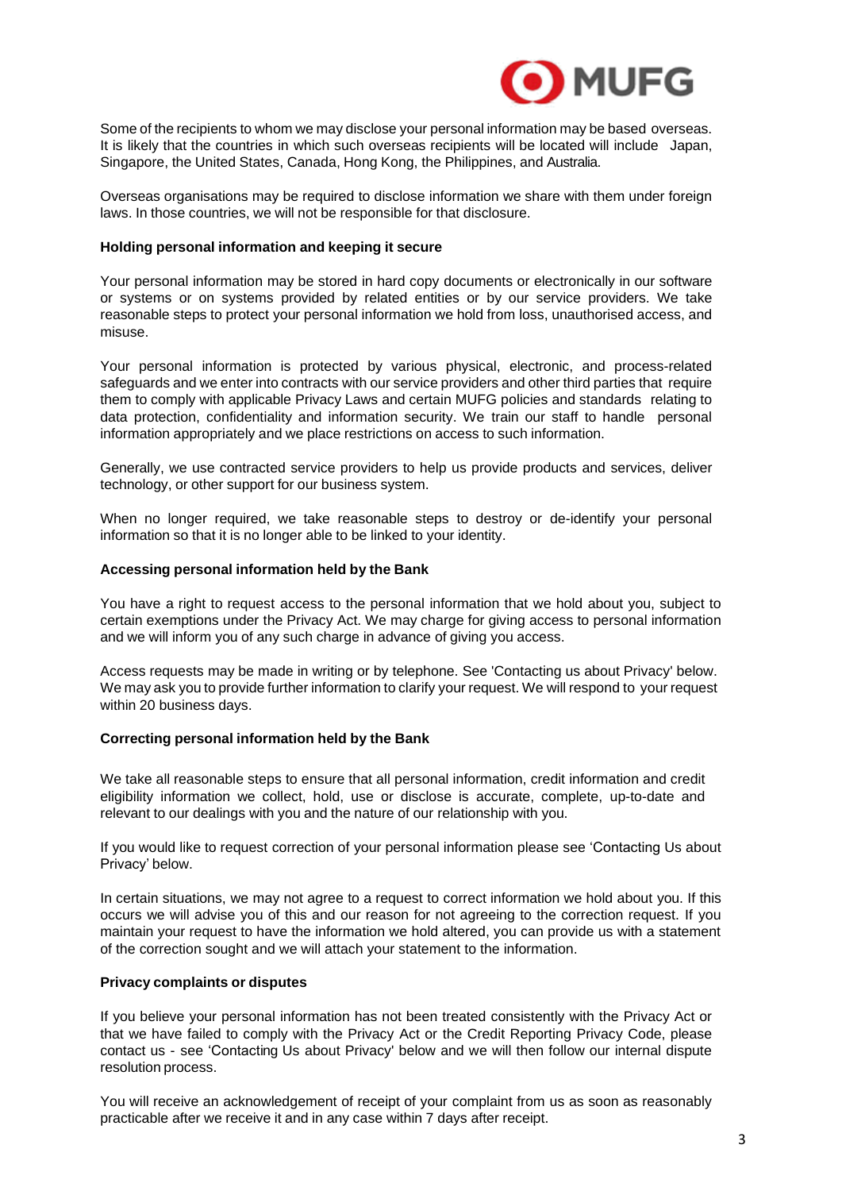

Some of the recipients to whom we may disclose your personal information may be based overseas. It is likely that the countries in which such overseas recipients will be located will include Japan, Singapore, the United States, Canada, Hong Kong, the Philippines, and Australia.

Overseas organisations may be required to disclose information we share with them under foreign laws. In those countries, we will not be responsible for that disclosure.

#### **Holding personal information and keeping it secure**

Your personal information may be stored in hard copy documents or electronically in our software or systems or on systems provided by related entities or by our service providers. We take reasonable steps to protect your personal information we hold from loss, unauthorised access, and misuse.

Your personal information is protected by various physical, electronic, and process-related safeguards and we enter into contracts with our service providers and other third parties that require them to comply with applicable Privacy Laws and certain MUFG policies and standards relating to data protection, confidentiality and information security. We train our staff to handle personal information appropriately and we place restrictions on access to such information.

Generally, we use contracted service providers to help us provide products and services, deliver technology, or other support for our business system.

When no longer required, we take reasonable steps to destroy or de-identify your personal information so that it is no longer able to be linked to your identity.

#### **Accessing personal information held by the Bank**

You have a right to request access to the personal information that we hold about you, subject to certain exemptions under the Privacy Act. We may charge for giving access to personal information and we will inform you of any such charge in advance of giving you access.

Access requests may be made in writing or by telephone. See 'Contacting us about Privacy' below. We may ask you to provide further information to clarify your request. We will respond to your request within 20 business days.

#### **Correcting personal information held by the Bank**

We take all reasonable steps to ensure that all personal information, credit information and credit eligibility information we collect, hold, use or disclose is accurate, complete, up-to-date and relevant to our dealings with you and the nature of our relationship with you.

If you would like to request correction of your personal information please see 'Contacting Us about Privacy' below.

In certain situations, we may not agree to a request to correct information we hold about you. If this occurs we will advise you of this and our reason for not agreeing to the correction request. If you maintain your request to have the information we hold altered, you can provide us with a statement of the correction sought and we will attach your statement to the information.

#### **Privacy complaints or disputes**

If you believe your personal information has not been treated consistently with the Privacy Act or that we have failed to comply with the Privacy Act or the Credit Reporting Privacy Code, please contact us - see 'Contacting Us about Privacy' below and we will then follow our internal dispute resolution process.

You will receive an acknowledgement of receipt of your complaint from us as soon as reasonably practicable after we receive it and in any case within 7 days after receipt.